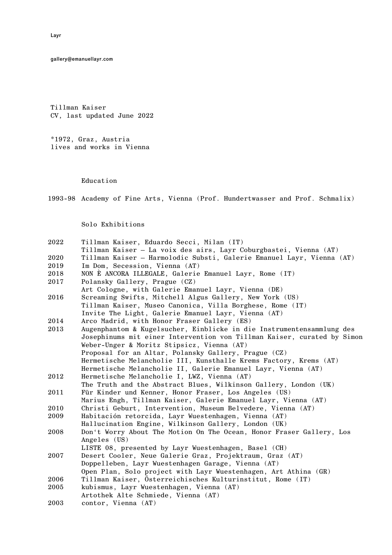gallery@emanuellayr.com

Tillman Kaiser CV, last updated June 2022

\*1972, Graz, Austria lives and works in Vienna

## Education

1993-98 Academy of Fine Arts, Vienna (Prof. Hundertwasser and Prof. Schmalix)

Solo Exhibitions

| 2022 | Tillman Kaiser, Eduardo Secci, Milan (IT)                               |
|------|-------------------------------------------------------------------------|
|      | Tillman Kaiser - La voix des airs, Layr Coburgbastei, Vienna (AT)       |
| 2020 | Tillman Kaiser - Harmolodic Substi, Galerie Emanuel Layr, Vienna (AT)   |
| 2019 | Im Dom, Secession, Vienna (AT)                                          |
| 2018 | NON È ANCORA ILLEGALE, Galerie Emanuel Layr, Rome (IT)                  |
| 2017 | Polansky Gallery, Prague (CZ)                                           |
|      | Art Cologne, with Galerie Emanuel Layr, Vienna (DE)                     |
| 2016 | Screaming Swifts, Mitchell Algus Gallery, New York (US)                 |
|      | Tillman Kaiser, Museo Canonica, Villa Borghese, Rome (IT)               |
|      | Invite The Light, Galerie Emanuel Layr, Vienna (AT)                     |
| 2014 | Arco Madrid, with Honor Fraser Gallery (ES)                             |
| 2013 | Augenphantom & Kugelsucher, Einblicke in die Instrumentensammlung des   |
|      | Josephinums mit einer Intervention von Tillman Kaiser, curated by Simon |
|      | Weber-Unger & Moritz Stipsicz, Vienna (AT)                              |
|      | Proposal for an Altar, Polansky Gallery, Prague (CZ)                    |
|      | Hermetische Melancholie III, Kunsthalle Krems Factory, Krems (AT)       |
|      | Hermetische Melancholie II, Galerie Emanuel Layr, Vienna (AT)           |
| 2012 | Hermetische Melancholie I, LWZ, Vienna (AT)                             |
|      | The Truth and the Abstract Blues, Wilkinson Gallery, London (UK)        |
| 2011 | Für Kinder und Kenner, Honor Fraser, Los Angeles (US)                   |
|      | Marius Engh, Tillman Kaiser, Galerie Emanuel Layr, Vienna (AT)          |
| 2010 | Christi Geburt, Intervention, Museum Belvedere, Vienna (AT)             |
| 2009 | Habitación retorcida, Layr Wuestenhagen, Vienna (AT)                    |
|      | Hallucination Engine, Wilkinson Gallery, London (UK)                    |
| 2008 | Don't Worry About The Motion On The Ocean, Honor Fraser Gallery, Los    |
|      | Angeles (US)                                                            |
|      | LISTE 08, presented by Layr Wuestenhagen, Basel (CH)                    |
| 2007 | Desert Cooler, Neue Galerie Graz, Projektraum, Graz (AT)                |
|      | Doppelleben, Layr Wuestenhagen Garage, Vienna (AT)                      |
|      | Open Plan, Solo project with Layr Wuestenhagen, Art Athina (GR)         |
| 2006 | Tillman Kaiser, Österreichisches Kulturinstitut, Rome (IT)              |
| 2005 | kubismus, Layr Wuestenhagen, Vienna (AT)                                |
|      | Artothek Alte Schmiede, Vienna (AT)                                     |
| 2003 | contor, Vienna (AT)                                                     |

Layr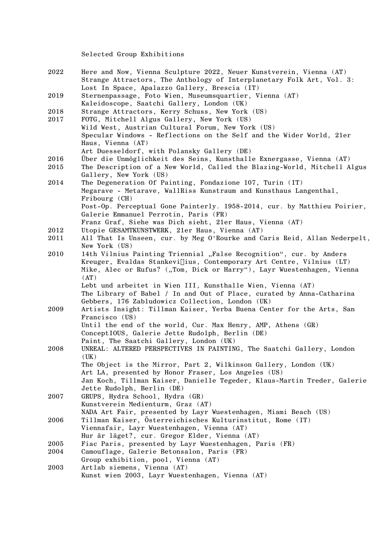Selected Group Exhibitions

| 2022 | Here and Now, Vienna Sculpture 2022, Neuer Kunstverein, Vienna (AT)<br>Strange Attractors, The Anthology of Interplanetary Folk Art, Vol. 3: |
|------|----------------------------------------------------------------------------------------------------------------------------------------------|
| 2019 | Lost In Space, Apalazzo Gallery, Brescia (IT)<br>Sternenpassage, Foto Wien, Museumsquartier, Vienna (AT)                                     |
|      | Kaleidoscope, Saatchi Gallery, London (UK)                                                                                                   |
| 2018 | Strange Attractors, Kerry Schuss, New York (US)                                                                                              |
| 2017 | FOTG, Mitchell Algus Gallery, New York (US)                                                                                                  |
|      | Wild West, Austrian Cultural Forum, New York (US)                                                                                            |
|      | Specular Windows - Reflections on the Self and the Wider World, 21er                                                                         |
|      | Haus, Vienna (AT)                                                                                                                            |
|      | Art Duesseldorf, with Polansky Gallery (DE)                                                                                                  |
| 2016 | Über die Unmöglichkeit des Seins, Kunsthalle Exnergasse, Vienna (AT)                                                                         |
| 2015 | The Description of a New World, Called the Blazing-World, Mitchell Algus                                                                     |
|      | Gallery, New York (US)                                                                                                                       |
| 2014 | The Degeneration Of Painting, Fondazione 107, Turin (IT)                                                                                     |
|      | Megarave - Metarave, WallRiss Kunstraum and Kunsthaus Langenthal,                                                                            |
|      | Fribourg (CH)                                                                                                                                |
|      | Post-Op. Perceptual Gone Painterly. 1958-2014, cur. by Matthieu Poirier,                                                                     |
|      | Galerie Emmanuel Perrotin, Paris (FR)                                                                                                        |
|      | Franz Graf, Siehe was Dich sieht, 21er Haus, Vienna (AT)                                                                                     |
| 2012 | Utopie GESAMTKUNSTWERK, 21er Haus, Vienna (AT)                                                                                               |
| 2011 | All That Is Unseen, cur. by Meg O'Rourke and Caris Reid, Allan Nederpelt,                                                                    |
|      | New York (US)                                                                                                                                |
| 2010 | 14th Vilnius Painting Triennial "False Recognition", cur. by Anders                                                                          |
|      | Kreuger, Evaldas Stankevi[jus, Contemporary Art Centre, Vilnius (LT)                                                                         |
|      | Mike, Alec or Rufus? ("Tom, Dick or Harry"), Layr Wuestenhagen, Vienna                                                                       |
|      | (AT)                                                                                                                                         |
|      | Lebt und arbeitet in Wien III, Kunsthalle Wien, Vienna (AT)                                                                                  |
|      | The Library of Babel / In and Out of Place, curated by Anna-Catharina                                                                        |
|      | Gebbers, 176 Zabludowicz Collection, London (UK)                                                                                             |
| 2009 | Artists Insight: Tillman Kaiser, Yerba Buena Center for the Arts, San                                                                        |
|      | Francisco (US)                                                                                                                               |
|      | Until the end of the world, Cur. Max Henry, AMP, Athens (GR)                                                                                 |
|      | ConceptIOUS, Galerie Jette Rudolph, Berlin (DE)                                                                                              |
|      | Paint, The Saatchi Gallery, London (UK)                                                                                                      |
| 2008 | UNREAL: ALTERED PERSPECTIVES IN PAINTING, The Saatchi Gallery, London                                                                        |
|      |                                                                                                                                              |
|      | (UK)                                                                                                                                         |
|      | The Object is the Mirror, Part 2, Wilkinson Gallery, London (UK)                                                                             |
|      | Art LA, presented by Honor Fraser, Los Angeles (US)                                                                                          |
|      | Jan Koch, Tillman Kaiser, Danielle Tegeder, Klaus-Martin Treder, Galerie                                                                     |
|      | Jette Rudolph, Berlin (DE)                                                                                                                   |
| 2007 | GRUPS, Hydra School, Hydra (GR)                                                                                                              |
|      | Kunstverein Medienturm, Graz (AT)                                                                                                            |
|      | NADA Art Fair, presented by Layr Wuestenhagen, Miami Beach (US)                                                                              |
| 2006 | Tillman Kaiser, Österreichisches Kulturinstitut, Rome (IT)                                                                                   |
|      | Viennafair, Layr Wuestenhagen, Vienna (AT)                                                                                                   |
|      | Hur är läget?, cur. Gregor Elder, Vienna (AT)                                                                                                |
| 2005 | Fiac Paris, presented by Layr Wuestenhagen, Paris (FR)                                                                                       |
| 2004 | Camouflage, Galerie Betonsalon, Paris (FR)                                                                                                   |
|      | Group exhibition, pool, Vienna (AT)                                                                                                          |
| 2003 | Artlab siemens, Vienna (AT)                                                                                                                  |

Kunst wien 2003, Layr Wuestenhagen, Vienna (AT)